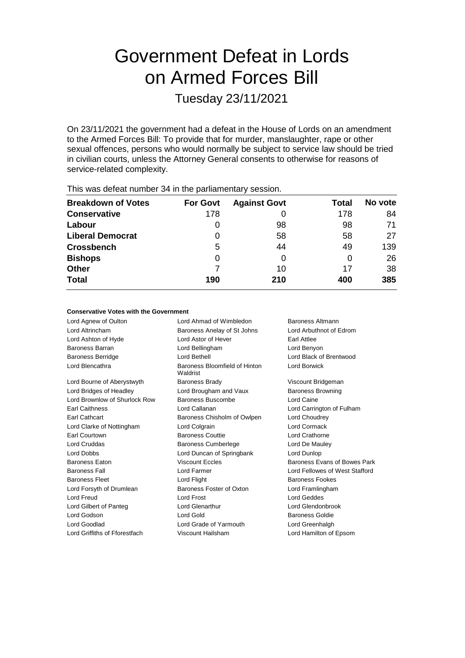# Government Defeat in Lords on Armed Forces Bill

Tuesday 23/11/2021

On 23/11/2021 the government had a defeat in the House of Lords on an amendment to the Armed Forces Bill: To provide that for murder, manslaughter, rape or other sexual offences, persons who would normally be subject to service law should be tried in civilian courts, unless the Attorney General consents to otherwise for reasons of service-related complexity.

| This was abloat harmon of the tho parliamontary occupit. |                 |                     |       |         |  |
|----------------------------------------------------------|-----------------|---------------------|-------|---------|--|
| <b>Breakdown of Votes</b>                                | <b>For Govt</b> | <b>Against Govt</b> | Total | No vote |  |
| <b>Conservative</b>                                      | 178             | U                   | 178   | 84      |  |
| Labour                                                   |                 | 98                  | 98    | 71      |  |
| <b>Liberal Democrat</b>                                  | 0               | 58                  | 58    | 27      |  |
| <b>Crossbench</b>                                        | 5               | 44                  | 49    | 139     |  |
| <b>Bishops</b>                                           | 0               | O                   | 0     | 26      |  |
| <b>Other</b>                                             |                 | 10                  | 17    | 38      |  |
| <b>Total</b>                                             | 190             | 210                 | 400   | 385     |  |
|                                                          |                 |                     |       |         |  |

This was defeat number 34 in the parliamentary session.

## **Conservative Votes with the Government**

Lord Agnew of Oulton **Lord Ahmad of Wimbledon** Baroness Altmann Lord Altrincham **Baroness Anelay of St Johns** Lord Arbuthnot of Edrom Lord Ashton of Hyde Lord Astor of Hever Earl Attlee Baroness Barran Lord Bellingham Lord Benyon Baroness Berridge Lord Bethell Lord Black of Brentwood Lord Blencathra **Baroness** Bloomfield of Hinton Waldrist Lord Borwick Lord Bourne of Aberystwyth Baroness Brady Correst Corresponding Viscount Bridgeman Lord Bridges of Headley **Lord Brougham and Vaux** Baroness Browning Lord Brownlow of Shurlock Row Baroness Buscombe Lord Caine Earl Caithness Lord Callanan Lord Carrington of Fulham Earl Cathcart Baroness Chisholm of Owlpen Lord Choudrey Lord Clarke of Nottingham Lord Colgrain Lord Cormack Earl Courtown Baroness Couttie Lord Crathorne Lord Cruddas **Baroness Cumberlege** Lord De Mauley Lord Dobbs Lord Duncan of Springbank Lord Dunlop Baroness Eaton **Baroness Example 2** Viscount Eccles **Baroness Evans of Bowes Park** Baroness Fall **Exercise Stafford** Lord Farmer **Lord Farmer Lord Fellowes of West Stafford** Baroness Fleet **Lord Flight** Lord Flight Baroness Fookes Lord Forsyth of Drumlean Baroness Foster of Oxton Lord Framlingham Lord Freud Lord Frost Lord Geddes Lord Gilbert of Panteg Lord Glenarthur Lord Glendonbrook Lord Godson Lord Gold Baroness Goldie Lord Goodlad Lord Grade of Yarmouth Lord Greenhalgh Lord Griffiths of Fforestfach Viscount Hailsham Lord Hamilton of Epsom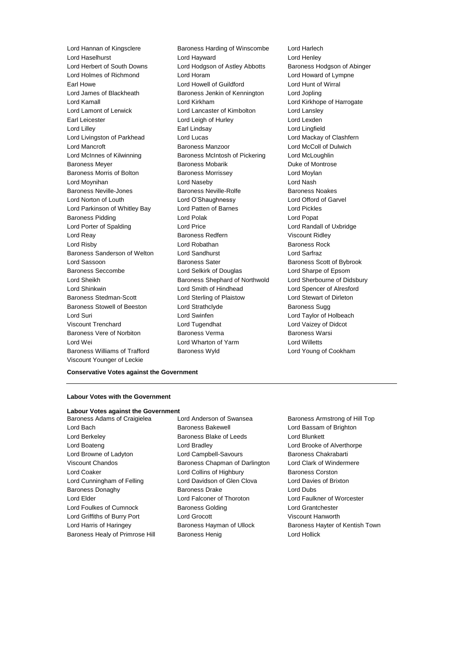Lord Haselhurst Lord Hayward Lord Henley Lord Herbert of South Downs Lord Hodgson of Astley Abbotts Baroness Hodgson of Abinger Lord Holmes of Richmond Lord Horam Lord Howard of Lympne Earl Howe **Lord Howell of Guildford Lord Hunt of Wirral** Lord James of Blackheath Baroness Jenkin of Kennington Lord Jopling Lord Kamall Lord Kirkham Lord Kirkhope of Harrogate Lord Lamont of Lerwick Lord Lancaster of Kimbolton Lord Lansley Earl Leicester Lord Leigh of Hurley Lord Lexden Lord Lilley Earl Lindsay Lord Lingfield Lord Livingston of Parkhead Lord Lord Lucas Lord Mackay of Clashfern Lord Mancroft Baroness Manzoor Lord McColl of Dulwich Lord McInnes of Kilwinning Baroness McIntosh of Pickering Lord McLoughlin Baroness Meyer **Baroness Mobarik Communist Communist Communist Communist Communist Communist Communist Communist Communist Communist Communist Communist Communist Communist Communist Communist Communist Communist Communist** Baroness Morris of Bolton **Baroness Morrissey Lord Moylan** Lord Moynihan Lord Naseby Lord Nash Baroness Neville-Jones **Baroness Neville-Rolfe** Baroness Noakes Lord Norton of Louth Lord O'Shaughnessy Lord Offord of Garvel Lord Parkinson of Whitley Bay Lord Patten of Barnes Lord Pickles Baroness Pidding The Lord Polak Cord Polak Lord Polak Lord Polak Lord Polak Lord Polak Lord Polak Lord Polak Lord Polak Lord Polak Lord Polak Lord Polak Lord Polak Lord Polak Lord Polak Lord Polak Lord Polak Lord Polak Lor Lord Porter of Spalding Lord Price Lord Reay **Baroness Redfern** Viscount Ridley Lord Risby **Lord Robathan** Baroness Rock **Communist Lord Robathan** Baroness Sanderson of Welton Lord Sandhurst Lord Sarfraz Lord Sassoon **Baroness Sater** Baroness Scott of Bybrook Baroness Seccombe Lord Selkirk of Douglas Lord Sharpe of Epsom Lord Sheikh **Baroness Shephard of Northwold** Lord Sherbourne of Didsbury Lord Shinkwin Lord Smith of Hindhead Lord Spencer of Alresford Baroness Stedman-Scott Lord Sterling of Plaistow Lord Stewart of Dirleton Baroness Stowell of Beeston Lord Strathclyde **Baroness Suggests** Baroness Sugg Lord Suri Lord Swinfen Lord Taylor of Holbeach Viscount Trenchard Lord Tugendhat Lord Vaizey of Didcot Baroness Vere of Norbiton **Baroness Verma** Baroness Warsi Lord Wei Lord Wharton of Yarm Lord Willetts Baroness Williams of Trafford Baroness Wyld Lord Young of Cookham Viscount Younger of Leckie

Lord Hannan of Kingsclere **Baroness Harding of Winscombe** Lord Harlech

## **Conservative Votes against the Government**

### **Labour Votes with the Government**

## **Labour Votes against the Government**

Lord Bach **Baroness Bakewell Baroness Bakewell Lord Bassam of Brighton** Lord Berkeley **Baroness Blake of Leeds** Lord Blunkett Lord Boateng Lord Bradley Lord Brooke of Alverthorpe Lord Browne of Ladyton Lord Campbell-Savours Baroness Chakrabarti Viscount Chandos Baroness Chapman of Darlington Lord Clark of Windermere Lord Coaker Lord Collins of Highbury Baroness Corston Lord Cunningham of Felling Lord Davidson of Glen Clova Lord Davies of Brixton Baroness Donaghy **Baroness Drake** Lord Dubs Lord Elder Lord Falconer of Thoroton Lord Faulkner of Worcester Lord Foulkes of Cumnock Baroness Golding Lord Grantchester Lord Griffiths of Burry Port Lord Grocott Viscount Hanworth

Baroness Adams of Craigielea Lord Anderson of Swansea Baroness Armstrong of Hill Top Baroness Healy of Primrose Hill Baroness Henig Controller Lord Hollick

Lord Harris of Haringey **Baroness Hayman of Ullock** Baroness Hayter of Kentish Town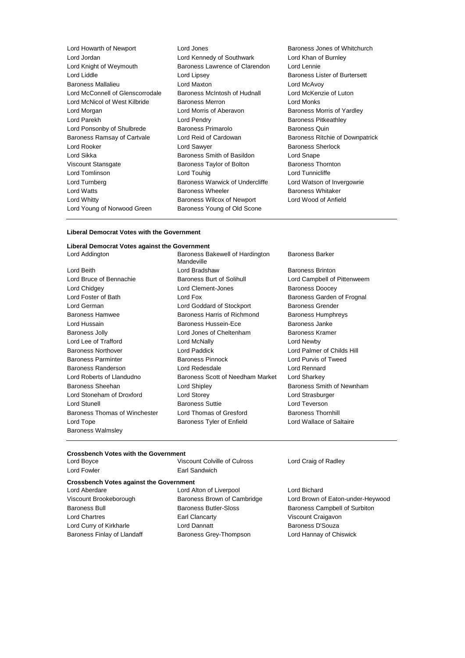| Lord Howarth of Newport          |  |  |  |
|----------------------------------|--|--|--|
| Lord Jordan                      |  |  |  |
| Lord Knight of Weymouth          |  |  |  |
| Lord Liddle                      |  |  |  |
| <b>Baroness Mallalieu</b>        |  |  |  |
| Lord McConnell of Glenscorrodale |  |  |  |
| Lord McNicol of West Kilbride    |  |  |  |
| Lord Morgan                      |  |  |  |
| Lord Parekh                      |  |  |  |
| Lord Ponsonby of Shulbrede       |  |  |  |
| Baroness Ramsay of Cartvale      |  |  |  |
| Lord Rooker                      |  |  |  |
| Lord Sikka                       |  |  |  |
| Viscount Stansgate               |  |  |  |
| <b>Lord Tomlinson</b>            |  |  |  |
| Lord Turnberg                    |  |  |  |
| <b>Lord Watts</b>                |  |  |  |
| Lord Whitty                      |  |  |  |
| Lord Young of Norwood Green      |  |  |  |

Lord Jones **Example 20** Extends Baroness Jones of Whitchurch Lord Kennedy of Southwark Lord Khan of Burnley Baroness Lawrence of Clarendon Lord Lennie Lord Lipsey **Baroness Lister of Burtersett** Lord Maxton **Lord McAvoy** Baroness McIntosh of Hudnall Lord McKenzie of Luton Baroness Merron Lord Monks Lord Morris of Aberavon Baroness Morris of Yardley Lord Pendry **Baroness Pitkeathley** Baroness Primarolo **Baroness Quin** Lord Reid of Cardowan Baroness Ritchie of Downpatrick Lord Sawyer **Baroness** Sherlock Baroness Smith of Basildon Lord Snape Baroness Taylor of Bolton Baroness Thornton Lord Touhig Lord Tunnicliffe Baroness Warwick of Undercliffe Lord Watson of Invergowrie Baroness Wheeler Baroness Whitaker Baroness Wilcox of Newport Lord Wood of Anfield Baroness Young of Old Scone

## **Liberal Democrat Votes with the Government**

## **Liberal Democrat Votes against the Government** Lord Addington **Baroness Bakewell of Hardington**

Baroness Walmsley

Mandeville Lord Beith **Communist Communist Communist Communist Communist Communist Communist Communist Communist Communist Communist Communist Communist Communist Communist Communist Communist Communist Communist Communist Communist** Baroness Burt of Solihull **Lord Campbell of Pittenweem** Lord Chidgey **Lord Clement-Jones** Baroness Doocey Lord Foster of Bath **Lord Fox** Lord Fox Baroness Garden of Frognal Lord German **Lord Goddard of Stockport** Baroness Grender Baroness Hamwee Baroness Harris of Richmond Baroness Humphreys Lord Hussain Baroness Hussein-Ece Baroness Janke Baroness Jolly **Lord Jones of Cheltenham** Baroness Kramer Lord Lee of Trafford Lord McNally Lord Newby Baroness Northover Lord Paddick Lord Palmer of Childs Hill Baroness Parminter Baroness Pinnock Lord Purvis of Tweed Baroness Randerson Lord Redesdale Lord Rennard Lord Roberts of Llandudno **Baroness Scott of Needham Market** Lord Sharkey Baroness Sheehan **Lord Shipley Baroness Smith of Newnham** Lord Stoneham of Droxford Lord Storey Lord Strasburger Lord Stunell Baroness Suttie Lord Teverson Baroness Thomas of Winchester Lord Thomas of Gresford Baroness Thornhill Lord Tope **Baroness Tyler of Enfield** Lord Wallace of Saltaire

Baroness Barker

## **Crossbench Votes with the Government**

| Lord Boyce  | Viscount Colville of Culross |
|-------------|------------------------------|
| Lord Fowler | Earl Sandwich                |

## **Crossbench Votes against the Government**

Lord Aberdare Lord Alton of Liverpool Lord Bichard Lord Chartres Earl Clancarty Viscount Craigavon Lord Curry of Kirkharle **Lord Dannatt Lord Dannatt** Baroness D'Souza Baroness Finlay of Llandaff **Baroness Grey-Thompson** Lord Hannay of Chiswick

Lord Craig of Radley

Viscount Brookeborough Baroness Brown of Cambridge Lord Brown of Eaton-under-Heywood Baroness Bull Baroness Butler-Sloss Baroness Campbell of Surbiton